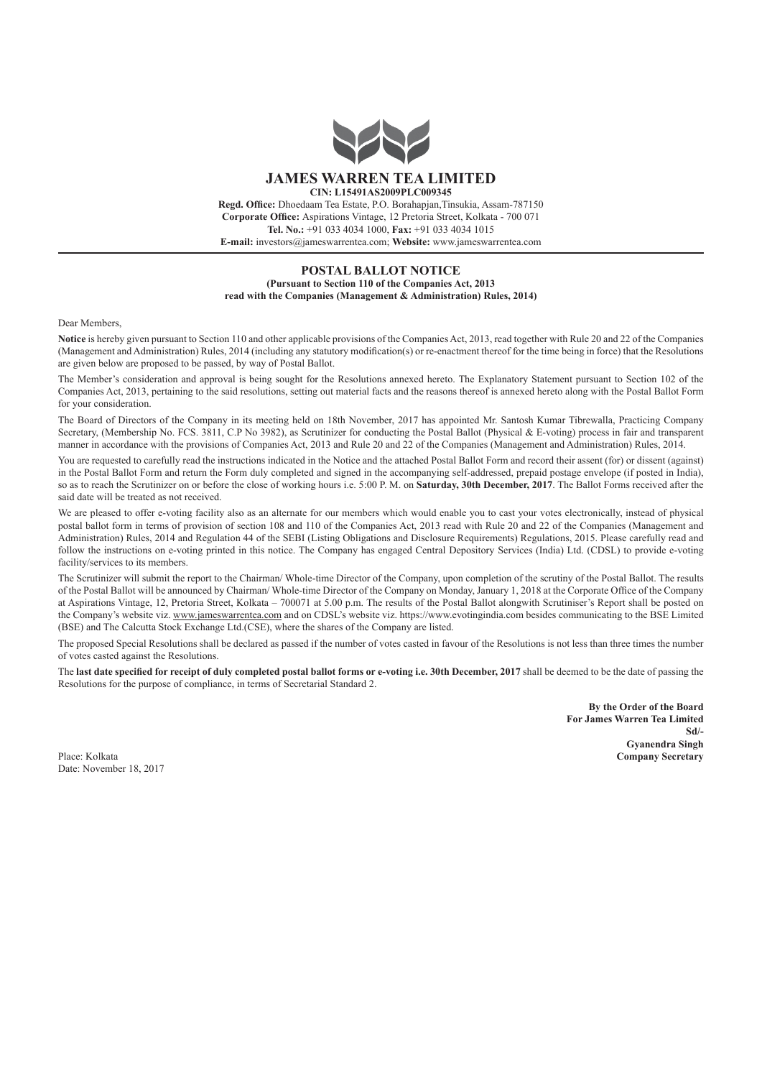

## **POSTAL BALLOT NOTICE (Pursuant to Section 110 of the Companies Act, 2013 read with the Companies (Management & Administration) Rules, 2014)**

Dear Members,

**Notice** is hereby given pursuant to Section 110 and other applicable provisions of the Companies Act, 2013, read together with Rule 20 and 22 of the Companies (Management and Administration) Rules, 2014 (including any statutory modification(s) or re-enactment thereof for the time being in force) that the Resolutions are given below are proposed to be passed, by way of Postal Ballot.

The Member's consideration and approval is being sought for the Resolutions annexed hereto. The Explanatory Statement pursuant to Section 102 of the Companies Act, 2013, pertaining to the said resolutions, setting out material facts and the reasons thereof is annexed hereto along with the Postal Ballot Form for your consideration.

The Board of Directors of the Company in its meeting held on 18th November, 2017 has appointed Mr. Santosh Kumar Tibrewalla, Practicing Company Secretary, (Membership No. FCS, 3811, C.P No 3982), as Scrutinizer for conducting the Postal Ballot (Physical & E-voting) process in fair and transparent manner in accordance with the provisions of Companies Act, 2013 and Rule 20 and 22 of the Companies (Management and Administration) Rules, 2014.

You are requested to carefully read the instructions indicated in the Notice and the attached Postal Ballot Form and record their assent (for) or dissent (against) in the Postal Ballot Form and return the Form duly completed and signed in the accompanying self-addressed, prepaid postage envelope (if posted in India), so as to reach the Scrutinizer on or before the close of working hours i.e. 5:00 P. M. on **Saturday, 30th December, 2017**. The Ballot Forms received after the said date will be treated as not received.

We are pleased to offer e-voting facility also as an alternate for our members which would enable you to cast your votes electronically, instead of physical postal ballot form in terms of provision of section 108 and 110 of the Companies Act, 2013 read with Rule 20 and 22 of the Companies (Management and Administration) Rules, 2014 and Regulation 44 of the SEBI (Listing Obligations and Disclosure Requirements) Regulations, 2015. Please carefully read and follow the instructions on e-voting printed in this notice. The Company has engaged Central Depository Services (India) Ltd. (CDSL) to provide e-voting facility/services to its members.

The Scrutinizer will submit the report to the Chairman/ Whole-time Director of the Company, upon completion of the scrutiny of the Postal Ballot. The results of the Postal Ballot will be announced by Chairman/ Whole-time Director of the Company on Monday, January 1, 2018 at the Corporate Office of the Company at Aspirations Vintage, 12, Pretoria Street, Kolkata – 700071 at 5.00 p.m. The results of the Postal Ballot alongwith Scrutiniser's Report shall be posted on the Company's website viz. www.jameswarrentea.com and on CDSL's website viz. https://www.evotingindia.com besides communicating to the BSE Limited (BSE) and The Calcutta Stock Exchange Ltd.(CSE), where the shares of the Company are listed.

The proposed Special Resolutions shall be declared as passed if the number of votes casted in favour of the Resolutions is not less than three times the number of votes casted against the Resolutions.

The **last date specified for receipt of duly completed postal ballot forms or e-voting i.e. 30th December, 2017** shall be deemed to be the date of passing the Resolutions for the purpose of compliance, in terms of Secretarial Standard 2.

**By the Order of the Board For James Warren Tea Limited Sd/- Gyanendra Singh** Place: Kolkata **Company Secretary**

Date: November 18, 2017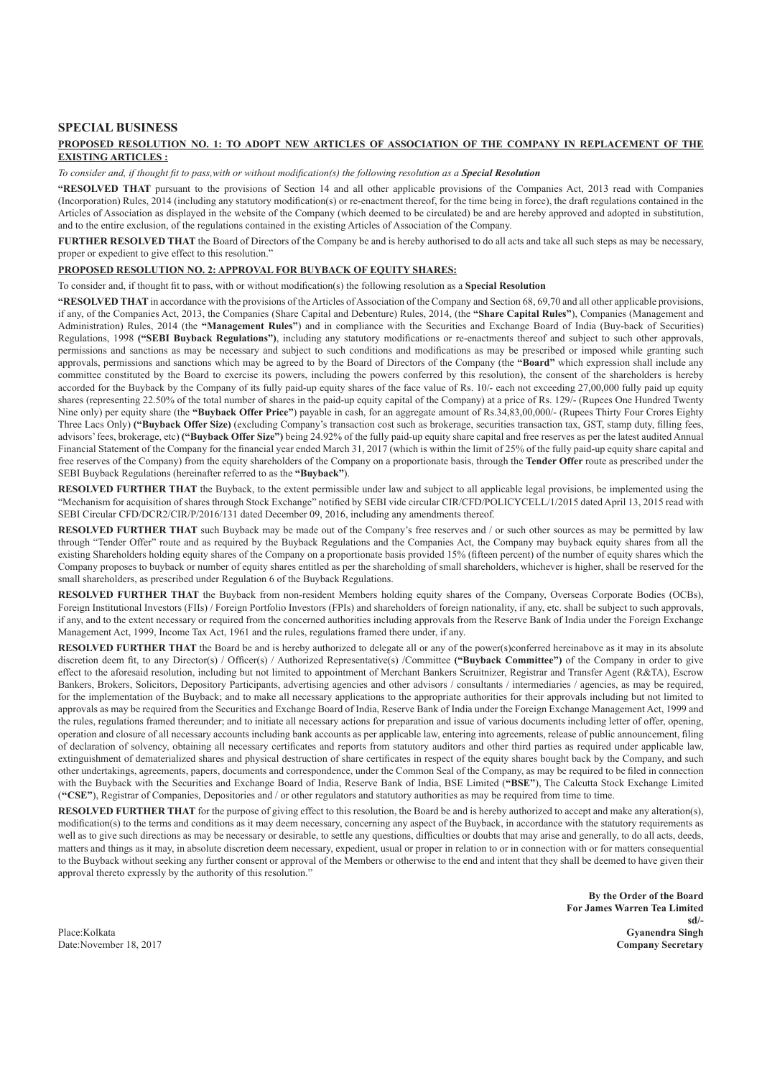## **SPECIAL BUSINESS**

#### **PROPOSED RESOLUTION NO. 1: TO ADOPT NEW ARTICLES OF ASSOCIATION OF THE COMPANY IN REPLACEMENT OF THE EXISTING ARTICLES :**

*To consider and, if thought fit to pass,with or without modification(s) the following resolution as a Special Resolution*

**"RESOLVED THAT** pursuant to the provisions of Section 14 and all other applicable provisions of the Companies Act, 2013 read with Companies (Incorporation) Rules, 2014 (including any statutory modification(s) or re-enactment thereof, for the time being in force), the draft regulations contained in the Articles of Association as displayed in the website of the Company (which deemed to be circulated) be and are hereby approved and adopted in substitution, and to the entire exclusion, of the regulations contained in the existing Articles of Association of the Company.

**FURTHER RESOLVED THAT** the Board of Directors of the Company be and is hereby authorised to do all acts and take all such steps as may be necessary, proper or expedient to give effect to this resolution."

## **PROPOSED RESOLUTION NO. 2: APPROVAL FOR BUYBACK OF EQUITY SHARES:**

To consider and, if thought fit to pass, with or without modification(s) the following resolution as a **Special Resolution**

**"RESOLVED THAT** in accordance with the provisions of the Articles of Association of the Company and Section 68, 69,70 and all other applicable provisions, if any, of the Companies Act, 2013, the Companies (Share Capital and Debenture) Rules, 2014, (the **"Share Capital Rules"**), Companies (Management and Administration) Rules, 2014 (the **"Management Rules"**) and in compliance with the Securities and Exchange Board of India (Buy-back of Securities) Regulations, 1998 **("SEBI Buyback Regulations")**, including any statutory modifications or re-enactments thereof and subject to such other approvals, permissions and sanctions as may be necessary and subject to such conditions and modifications as may be prescribed or imposed while granting such approvals, permissions and sanctions which may be agreed to by the Board of Directors of the Company (the **"Board"** which expression shall include any committee constituted by the Board to exercise its powers, including the powers conferred by this resolution), the consent of the shareholders is hereby accorded for the Buyback by the Company of its fully paid-up equity shares of the face value of Rs. 10/- each not exceeding 27,00,000 fully paid up equity shares (representing 22.50% of the total number of shares in the paid-up equity capital of the Company) at a price of Rs. 129/- (Rupees One Hundred Twenty Nine only) per equity share (the **"Buyback Offer Price"**) payable in cash, for an aggregate amount of Rs.34,83,00,000/- (Rupees Thirty Four Crores Eighty Three Lacs Only) **("Buyback Offer Size)** (excluding Company's transaction cost such as brokerage, securities transaction tax, GST, stamp duty, filling fees, advisors' fees, brokerage, etc) **("Buyback Offer Size")** being 24.92% of the fully paid-up equity share capital and free reserves as per the latest audited Annual Financial Statement of the Company for the financial year ended March 31, 2017 (which is within the limit of 25% of the fully paid-up equity share capital and free reserves of the Company) from the equity shareholders of the Company on a proportionate basis, through the **Tender Offer** route as prescribed under the SEBI Buyback Regulations (hereinafter referred to as the **"Buyback"**).

**RESOLVED FURTHER THAT** the Buyback, to the extent permissible under law and subject to all applicable legal provisions, be implemented using the "Mechanism for acquisition of shares through Stock Exchange" notified by SEBI vide circular CIR/CFD/POLICYCELL/1/2015 dated April 13, 2015 read with SEBI Circular CFD/DCR2/CIR/P/2016/131 dated December 09, 2016, including any amendments thereof.

**RESOLVED FURTHER THAT** such Buyback may be made out of the Company's free reserves and / or such other sources as may be permitted by law through "Tender Offer" route and as required by the Buyback Regulations and the Companies Act, the Company may buyback equity shares from all the existing Shareholders holding equity shares of the Company on a proportionate basis provided 15% (fifteen percent) of the number of equity shares which the Company proposes to buyback or number of equity shares entitled as per the shareholding of small shareholders, whichever is higher, shall be reserved for the small shareholders, as prescribed under Regulation 6 of the Buyback Regulations.

**RESOLVED FURTHER THAT** the Buyback from non-resident Members holding equity shares of the Company, Overseas Corporate Bodies (OCBs), Foreign Institutional Investors (FIIs) / Foreign Portfolio Investors (FPIs) and shareholders of foreign nationality, if any, etc. shall be subject to such approvals, if any, and to the extent necessary or required from the concerned authorities including approvals from the Reserve Bank of India under the Foreign Exchange Management Act, 1999, Income Tax Act, 1961 and the rules, regulations framed there under, if any.

**RESOLVED FURTHER THAT** the Board be and is hereby authorized to delegate all or any of the power(s)conferred hereinabove as it may in its absolute discretion deem fit, to any Director(s) / Officer(s) / Authorized Representative(s) /Committee **("Buyback Committee")** of the Company in order to give effect to the aforesaid resolution, including but not limited to appointment of Merchant Bankers Scruitnizer, Registrar and Transfer Agent (R&TA), Escrow Bankers, Brokers, Solicitors, Depository Participants, advertising agencies and other advisors / consultants / intermediaries / agencies, as may be required, for the implementation of the Buyback; and to make all necessary applications to the appropriate authorities for their approvals including but not limited to approvals as may be required from the Securities and Exchange Board of India, Reserve Bank of India under the Foreign Exchange Management Act, 1999 and the rules, regulations framed thereunder; and to initiate all necessary actions for preparation and issue of various documents including letter of offer, opening, operation and closure of all necessary accounts including bank accounts as per applicable law, entering into agreements, release of public announcement, filing of declaration of solvency, obtaining all necessary certificates and reports from statutory auditors and other third parties as required under applicable law, extinguishment of dematerialized shares and physical destruction of share certificates in respect of the equity shares bought back by the Company, and such other undertakings, agreements, papers, documents and correspondence, under the Common Seal of the Company, as may be required to be filed in connection with the Buyback with the Securities and Exchange Board of India, Reserve Bank of India, BSE Limited (**"BSE"**), The Calcutta Stock Exchange Limited (**''CSE"**), Registrar of Companies, Depositories and / or other regulators and statutory authorities as may be required from time to time.

**RESOLVED FURTHER THAT** for the purpose of giving effect to this resolution, the Board be and is hereby authorized to accept and make any alteration(s), modification(s) to the terms and conditions as it may deem necessary, concerning any aspect of the Buyback, in accordance with the statutory requirements as well as to give such directions as may be necessary or desirable, to settle any questions, difficulties or doubts that may arise and generally, to do all acts, deeds, matters and things as it may, in absolute discretion deem necessary, expedient, usual or proper in relation to or in connection with or for matters consequential to the Buyback without seeking any further consent or approval of the Members or otherwise to the end and intent that they shall be deemed to have given their approval thereto expressly by the authority of this resolution."

**By the Order of the Board For James Warren Tea Limited sd/-** Place:Kolkata **Gyanendra Singh** Date:November 18, 2017 **Company Secretary**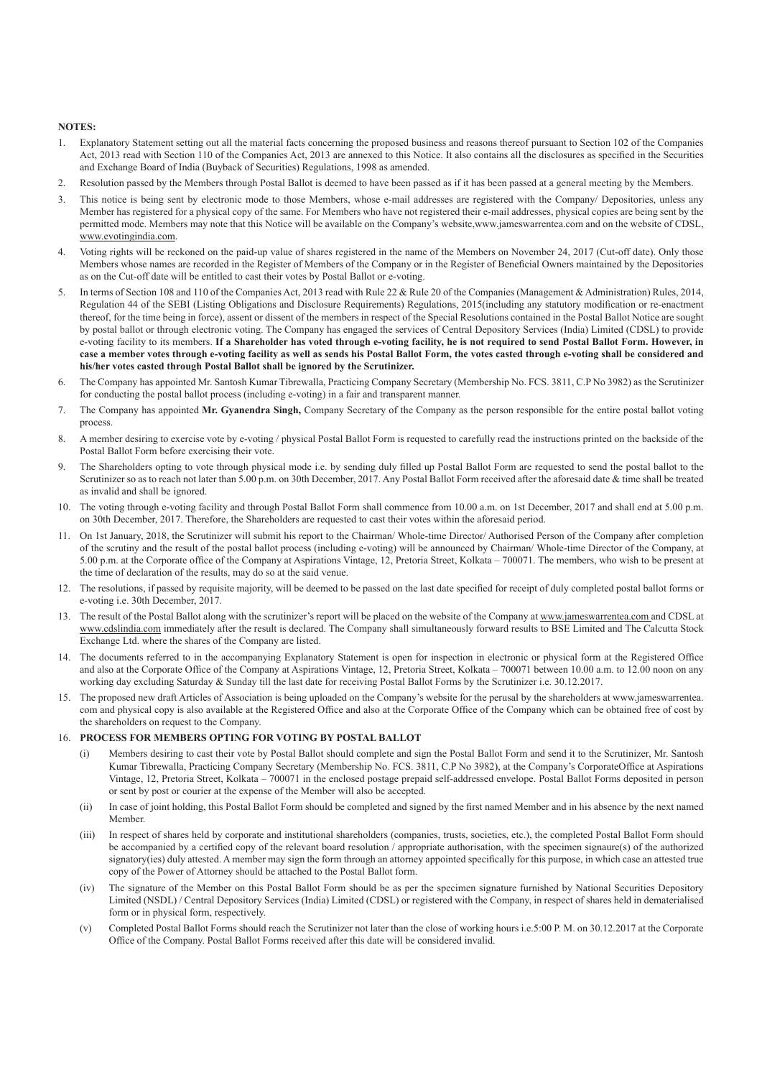#### **NOTES:**

- 1. Explanatory Statement setting out all the material facts concerning the proposed business and reasons thereof pursuant to Section 102 of the Companies Act, 2013 read with Section 110 of the Companies Act, 2013 are annexed to this Notice. It also contains all the disclosures as specified in the Securities and Exchange Board of India (Buyback of Securities) Regulations, 1998 as amended.
- 2. Resolution passed by the Members through Postal Ballot is deemed to have been passed as if it has been passed at a general meeting by the Members.
- 3. This notice is being sent by electronic mode to those Members, whose e-mail addresses are registered with the Company/ Depositories, unless any Member has registered for a physical copy of the same. For Members who have not registered their e-mail addresses, physical copies are being sent by the permitted mode. Members may note that this Notice will be available on the Company's website,www.jameswarrentea.com and on the website of CDSL, www.evotingindia.com.
- 4. Voting rights will be reckoned on the paid-up value of shares registered in the name of the Members on November 24, 2017 (Cut-off date). Only those Members whose names are recorded in the Register of Members of the Company or in the Register of Beneficial Owners maintained by the Depositories as on the Cut-off date will be entitled to cast their votes by Postal Ballot or e-voting.
- 5. In terms of Section 108 and 110 of the Companies Act, 2013 read with Rule 22 & Rule 20 of the Companies (Management & Administration) Rules, 2014, Regulation 44 of the SEBI (Listing Obligations and Disclosure Requirements) Regulations, 2015(including any statutory modification or re-enactment thereof, for the time being in force), assent or dissent of the members in respect of the Special Resolutions contained in the Postal Ballot Notice are sought by postal ballot or through electronic voting. The Company has engaged the services of Central Depository Services (India) Limited (CDSL) to provide e-voting facility to its members. **If a Shareholder has voted through e-voting facility, he is not required to send Postal Ballot Form. However, in case a member votes through e-voting facility as well as sends his Postal Ballot Form, the votes casted through e-voting shall be considered and his/her votes casted through Postal Ballot shall be ignored by the Scrutinizer.**
- 6. The Company has appointed Mr. Santosh Kumar Tibrewalla, Practicing Company Secretary (Membership No. FCS. 3811, C.P No 3982) as the Scrutinizer for conducting the postal ballot process (including e-voting) in a fair and transparent manner.
- 7. The Company has appointed **Mr. Gyanendra Singh,** Company Secretary of the Company as the person responsible for the entire postal ballot voting process.
- 8. A member desiring to exercise vote by e-voting / physical Postal Ballot Form is requested to carefully read the instructions printed on the backside of the Postal Ballot Form before exercising their vote.
- 9. The Shareholders opting to vote through physical mode i.e. by sending duly filled up Postal Ballot Form are requested to send the postal ballot to the Scrutinizer so as to reach not later than 5.00 p.m. on 30th December, 2017. Any Postal Ballot Form received after the aforesaid date & time shall be treated as invalid and shall be ignored.
- 10. The voting through e-voting facility and through Postal Ballot Form shall commence from 10.00 a.m. on 1st December, 2017 and shall end at 5.00 p.m. on 30th December, 2017. Therefore, the Shareholders are requested to cast their votes within the aforesaid period.
- 11. On 1st January, 2018, the Scrutinizer will submit his report to the Chairman/ Whole-time Director/ Authorised Person of the Company after completion of the scrutiny and the result of the postal ballot process (including e-voting) will be announced by Chairman/ Whole-time Director of the Company, at 5.00 p.m. at the Corporate office of the Company at Aspirations Vintage, 12, Pretoria Street, Kolkata – 700071. The members, who wish to be present at the time of declaration of the results, may do so at the said venue.
- 12. The resolutions, if passed by requisite majority, will be deemed to be passed on the last date specified for receipt of duly completed postal ballot forms or e-voting i.e. 30th December, 2017.
- 13. The result of the Postal Ballot along with the scrutinizer's report will be placed on the website of the Company at www.jameswarrentea.com and CDSL at www.cdslindia.com immediately after the result is declared. The Company shall simultaneously forward results to BSE Limited and The Calcutta Stock Exchange Ltd. where the shares of the Company are listed.
- 14. The documents referred to in the accompanying Explanatory Statement is open for inspection in electronic or physical form at the Registered Office and also at the Corporate Office of the Company at Aspirations Vintage, 12, Pretoria Street, Kolkata – 700071 between 10.00 a.m. to 12.00 noon on any working day excluding Saturday & Sunday till the last date for receiving Postal Ballot Forms by the Scrutinizer i.e. 30.12.2017.
- 15. The proposed new draft Articles of Association is being uploaded on the Company's website for the perusal by the shareholders at www.jameswarrentea. com and physical copy is also available at the Registered Office and also at the Corporate Office of the Company which can be obtained free of cost by the shareholders on request to the Company.

## 16. **PROCESS FOR MEMBERS OPTING FOR VOTING BY POSTAL BALLOT**

- Members desiring to cast their vote by Postal Ballot should complete and sign the Postal Ballot Form and send it to the Scrutinizer, Mr. Santosh Kumar Tibrewalla, Practicing Company Secretary (Membership No. FCS. 3811, C.P No 3982), at the Company's CorporateOffice at Aspirations Vintage, 12, Pretoria Street, Kolkata – 700071 in the enclosed postage prepaid self-addressed envelope. Postal Ballot Forms deposited in person or sent by post or courier at the expense of the Member will also be accepted.
- (ii) In case of joint holding, this Postal Ballot Form should be completed and signed by the first named Member and in his absence by the next named Member.
- (iii) In respect of shares held by corporate and institutional shareholders (companies, trusts, societies, etc.), the completed Postal Ballot Form should be accompanied by a certified copy of the relevant board resolution / appropriate authorisation, with the specimen signaure(s) of the authorized signatory(ies) duly attested. A member may sign the form through an attorney appointed specifically for this purpose, in which case an attested true copy of the Power of Attorney should be attached to the Postal Ballot form.
- (iv) The signature of the Member on this Postal Ballot Form should be as per the specimen signature furnished by National Securities Depository Limited (NSDL) / Central Depository Services (India) Limited (CDSL) or registered with the Company, in respect of shares held in dematerialised form or in physical form, respectively.
- (v) Completed Postal Ballot Forms should reach the Scrutinizer not later than the close of working hours i.e.5:00 P. M. on 30.12.2017 at the Corporate Office of the Company. Postal Ballot Forms received after this date will be considered invalid.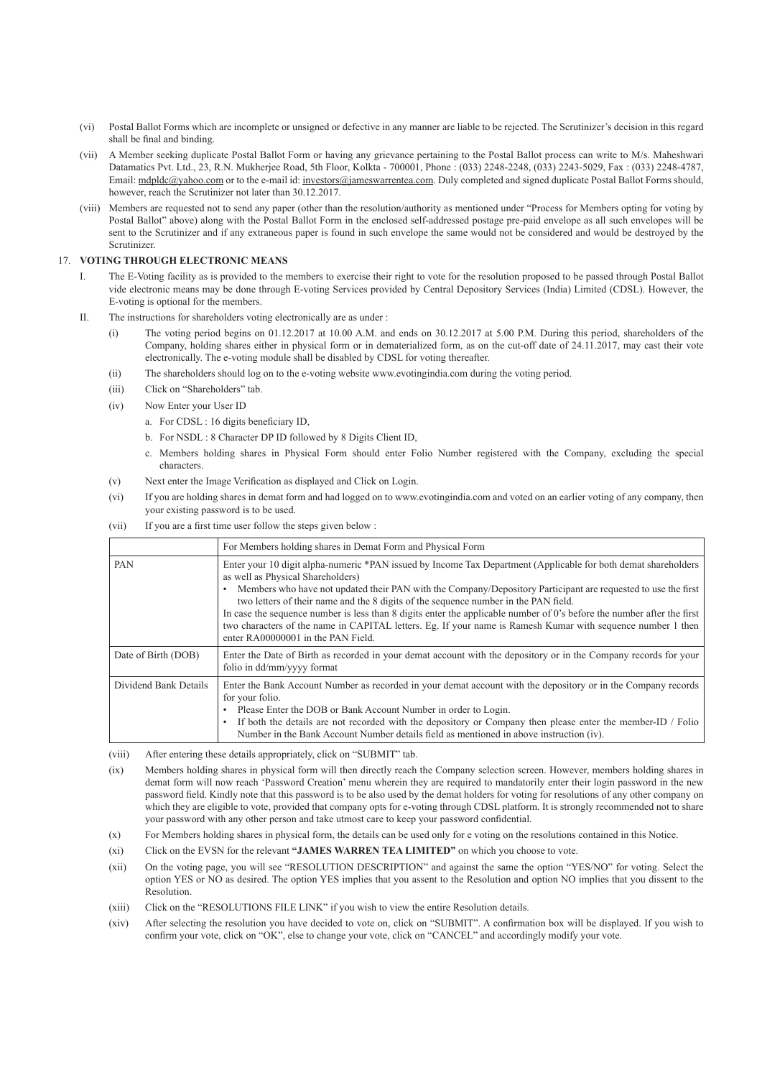- (vi) Postal Ballot Forms which are incomplete or unsigned or defective in any manner are liable to be rejected. The Scrutinizer's decision in this regard shall be final and binding.
- (vii) A Member seeking duplicate Postal Ballot Form or having any grievance pertaining to the Postal Ballot process can write to M/s. Maheshwari Datamatics Pvt. Ltd., 23, R.N. Mukherjee Road, 5th Floor, Kolkta - 700001, Phone : (033) 2248-2248, (033) 2243-5029, Fax : (033) 2248-4787, Email: mdpldc@yahoo.com or to the e-mail id: investors@jameswarrentea.com. Duly completed and signed duplicate Postal Ballot Forms should, however, reach the Scrutinizer not later than 30.12.2017.
- (viii) Members are requested not to send any paper (other than the resolution/authority as mentioned under "Process for Members opting for voting by Postal Ballot" above) along with the Postal Ballot Form in the enclosed self-addressed postage pre-paid envelope as all such envelopes will be sent to the Scrutinizer and if any extraneous paper is found in such envelope the same would not be considered and would be destroyed by the Scrutinizer.

## 17. **VOTING THROUGH ELECTRONIC MEANS**

- The E-Voting facility as is provided to the members to exercise their right to vote for the resolution proposed to be passed through Postal Ballot vide electronic means may be done through E-voting Services provided by Central Depository Services (India) Limited (CDSL). However, the E-voting is optional for the members.
- II. The instructions for shareholders voting electronically are as under :
	- (i) The voting period begins on 01.12.2017 at 10.00 A.M. and ends on 30.12.2017 at 5.00 P.M. During this period, shareholders of the Company, holding shares either in physical form or in dematerialized form, as on the cut-off date of 24.11.2017, may cast their vote electronically. The e-voting module shall be disabled by CDSL for voting thereafter.
	- (ii) The shareholders should log on to the e-voting website www.evotingindia.com during the voting period.
	- (iii) Click on "Shareholders" tab.
	- (iv) Now Enter your User ID
		- a. For CDSL : 16 digits beneficiary ID,
		- b. For NSDL : 8 Character DP ID followed by 8 Digits Client ID,
		- c. Members holding shares in Physical Form should enter Folio Number registered with the Company, excluding the special characters.
	- (v) Next enter the Image Verification as displayed and Click on Login.
	- (vi) If you are holding shares in demat form and had logged on to www.evotingindia.com and voted on an earlier voting of any company, then your existing password is to be used.
	- (vii) If you are a first time user follow the steps given below :

|                       | For Members holding shares in Demat Form and Physical Form                                                                                                                                                                                                                                                                                                                                                                                                                                                                                                                                                                                   |
|-----------------------|----------------------------------------------------------------------------------------------------------------------------------------------------------------------------------------------------------------------------------------------------------------------------------------------------------------------------------------------------------------------------------------------------------------------------------------------------------------------------------------------------------------------------------------------------------------------------------------------------------------------------------------------|
| <b>PAN</b>            | Enter your 10 digit alpha-numeric *PAN issued by Income Tax Department (Applicable for both demat shareholders<br>as well as Physical Shareholders)<br>Members who have not updated their PAN with the Company/Depository Participant are requested to use the first<br>two letters of their name and the 8 digits of the sequence number in the PAN field.<br>In case the sequence number is less than 8 digits enter the applicable number of 0's before the number after the first<br>two characters of the name in CAPITAL letters. Eg. If your name is Ramesh Kumar with sequence number 1 then<br>enter $RA00000001$ in the PAN Field. |
| Date of Birth (DOB)   | Enter the Date of Birth as recorded in your demat account with the depository or in the Company records for your<br>folio in dd/mm/yyyy format                                                                                                                                                                                                                                                                                                                                                                                                                                                                                               |
| Dividend Bank Details | Enter the Bank Account Number as recorded in your demat account with the depository or in the Company records<br>for your folio.<br>Please Enter the DOB or Bank Account Number in order to Login.<br>If both the details are not recorded with the depository or Company then please enter the member-ID / Folio<br>Number in the Bank Account Number details field as mentioned in above instruction (iv).                                                                                                                                                                                                                                 |

(viii) After entering these details appropriately, click on "SUBMIT" tab.

 (ix) Members holding shares in physical form will then directly reach the Company selection screen. However, members holding shares in demat form will now reach 'Password Creation' menu wherein they are required to mandatorily enter their login password in the new password field. Kindly note that this password is to be also used by the demat holders for voting for resolutions of any other company on which they are eligible to vote, provided that company opts for e-voting through CDSL platform. It is strongly recommended not to share your password with any other person and take utmost care to keep your password confidential.

- (x) For Members holding shares in physical form, the details can be used only for e voting on the resolutions contained in this Notice.
- (xi) Click on the EVSN for the relevant **"JAMES WARREN TEA LIMITED"** on which you choose to vote.
- (xii) On the voting page, you will see "RESOLUTION DESCRIPTION" and against the same the option "YES/NO" for voting. Select the option YES or NO as desired. The option YES implies that you assent to the Resolution and option NO implies that you dissent to the Resolution.
- (xiii) Click on the "RESOLUTIONS FILE LINK" if you wish to view the entire Resolution details.
- (xiv) After selecting the resolution you have decided to vote on, click on "SUBMIT". A confirmation box will be displayed. If you wish to confirm your vote, click on "OK", else to change your vote, click on "CANCEL" and accordingly modify your vote.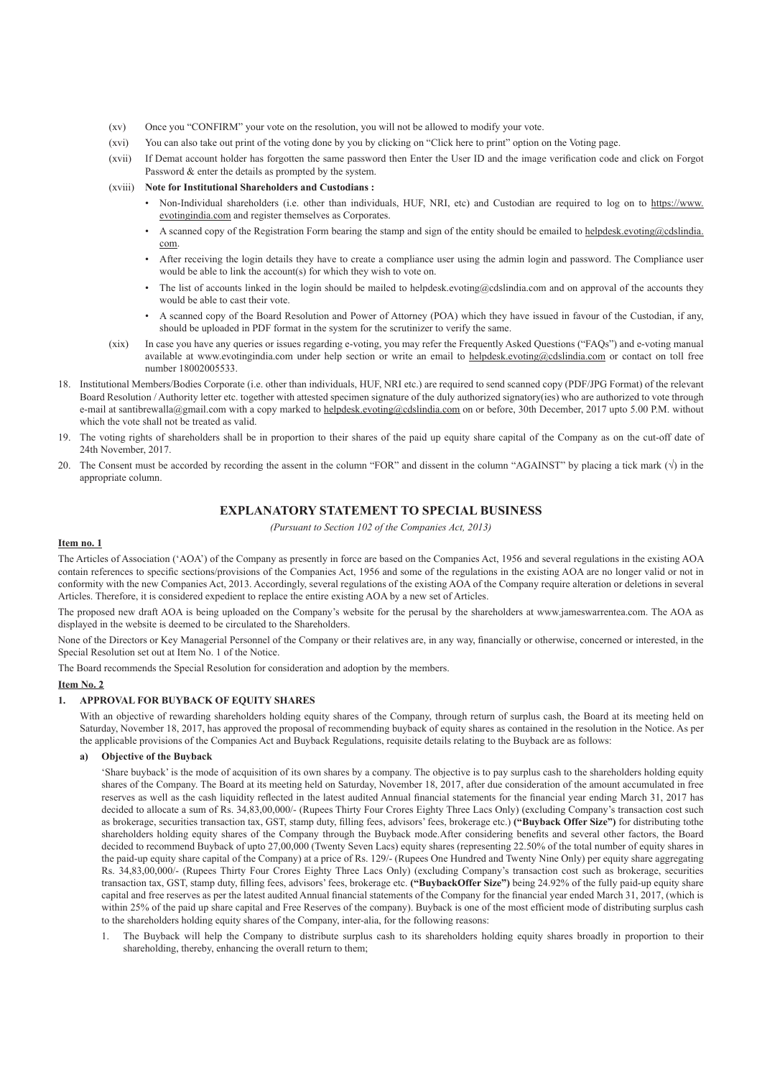- (xv) Once you "CONFIRM" your vote on the resolution, you will not be allowed to modify your vote.
- (xvi) You can also take out print of the voting done by you by clicking on "Click here to print" option on the Voting page.
- (xvii) If Demat account holder has forgotten the same password then Enter the User ID and the image verification code and click on Forgot Password & enter the details as prompted by the system.

## (xviii) **Note for Institutional Shareholders and Custodians :**

- Non-Individual shareholders (i.e. other than individuals, HUF, NRI, etc) and Custodian are required to log on to https://www. evotingindia.com and register themselves as Corporates.
- A scanned copy of the Registration Form bearing the stamp and sign of the entity should be emailed to helpdesk.evoting@cdslindia. com.
- After receiving the login details they have to create a compliance user using the admin login and password. The Compliance user would be able to link the account(s) for which they wish to vote on.
- The list of accounts linked in the login should be mailed to helpdesk.evoting@cdslindia.com and on approval of the accounts they would be able to cast their vote.
- A scanned copy of the Board Resolution and Power of Attorney (POA) which they have issued in favour of the Custodian, if any, should be uploaded in PDF format in the system for the scrutinizer to verify the same.
- (xix) In case you have any queries or issues regarding e-voting, you may refer the Frequently Asked Questions ("FAQs") and e-voting manual available at www.evotingindia.com under help section or write an email to helpdesk.evoting@cdslindia.com or contact on toll free number 18002005533.
- 18. Institutional Members/Bodies Corporate (i.e. other than individuals, HUF, NRI etc.) are required to send scanned copy (PDF/JPG Format) of the relevant Board Resolution / Authority letter etc. together with attested specimen signature of the duly authorized signatory(ies) who are authorized to vote through e-mail at santibrewalla@gmail.com with a copy marked to helpdesk.evoting@cdslindia.com on or before, 30th December, 2017 upto 5.00 P.M. without which the vote shall not be treated as valid.
- 19. The voting rights of shareholders shall be in proportion to their shares of the paid up equity share capital of the Company as on the cut-off date of 24th November, 2017.
- 20. The Consent must be accorded by recording the assent in the column "FOR" and dissent in the column "AGAINST" by placing a tick mark  $(\sqrt)$  in the appropriate column.

# **EXPLANATORY STATEMENT TO SPECIAL BUSINESS**

*(Pursuant to Section 102 of the Companies Act, 2013)*

#### **Item no. 1**

The Articles of Association ('AOA') of the Company as presently in force are based on the Companies Act, 1956 and several regulations in the existing AOA contain references to specific sections/provisions of the Companies Act, 1956 and some of the regulations in the existing AOA are no longer valid or not in conformity with the new Companies Act, 2013. Accordingly, several regulations of the existing AOA of the Company require alteration or deletions in several Articles. Therefore, it is considered expedient to replace the entire existing AOA by a new set of Articles.

The proposed new draft AOA is being uploaded on the Company's website for the perusal by the shareholders at www.jameswarrentea.com. The AOA as displayed in the website is deemed to be circulated to the Shareholders.

None of the Directors or Key Managerial Personnel of the Company or their relatives are, in any way, financially or otherwise, concerned or interested, in the Special Resolution set out at Item No. 1 of the Notice.

The Board recommends the Special Resolution for consideration and adoption by the members.

# **Item No. 2**

# **1. APPROVAL FOR BUYBACK OF EQUITY SHARES**

With an objective of rewarding shareholders holding equity shares of the Company, through return of surplus cash, the Board at its meeting held on Saturday, November 18, 2017, has approved the proposal of recommending buyback of equity shares as contained in the resolution in the Notice. As per the applicable provisions of the Companies Act and Buyback Regulations, requisite details relating to the Buyback are as follows:

#### **a) Objective of the Buyback**

 'Share buyback' is the mode of acquisition of its own shares by a company. The objective is to pay surplus cash to the shareholders holding equity shares of the Company. The Board at its meeting held on Saturday, November 18, 2017, after due consideration of the amount accumulated in free reserves as well as the cash liquidity reflected in the latest audited Annual financial statements for the financial year ending March 31, 2017 has decided to allocate a sum of Rs. 34,83,00,000/- (Rupees Thirty Four Crores Eighty Three Lacs Only) (excluding Company's transaction cost such as brokerage, securities transaction tax, GST, stamp duty, filling fees, advisors' fees, brokerage etc.) **("Buyback Offer Size")** for distributing tothe shareholders holding equity shares of the Company through the Buyback mode.After considering benefits and several other factors, the Board decided to recommend Buyback of upto 27,00,000 (Twenty Seven Lacs) equity shares (representing 22.50% of the total number of equity shares in the paid-up equity share capital of the Company) at a price of Rs. 129/- (Rupees One Hundred and Twenty Nine Only) per equity share aggregating Rs. 34,83,00,000/- (Rupees Thirty Four Crores Eighty Three Lacs Only) (excluding Company's transaction cost such as brokerage, securities transaction tax, GST, stamp duty, filling fees, advisors' fees, brokerage etc. **("BuybackOffer Size")** being 24.92% of the fully paid-up equity share capital and free reserves as per the latest audited Annual financial statements of the Company for the financial year ended March 31, 2017, (which is within 25% of the paid up share capital and Free Reserves of the company). Buyback is one of the most efficient mode of distributing surplus cash to the shareholders holding equity shares of the Company, inter-alia, for the following reasons:

 1. The Buyback will help the Company to distribute surplus cash to its shareholders holding equity shares broadly in proportion to their shareholding, thereby, enhancing the overall return to them;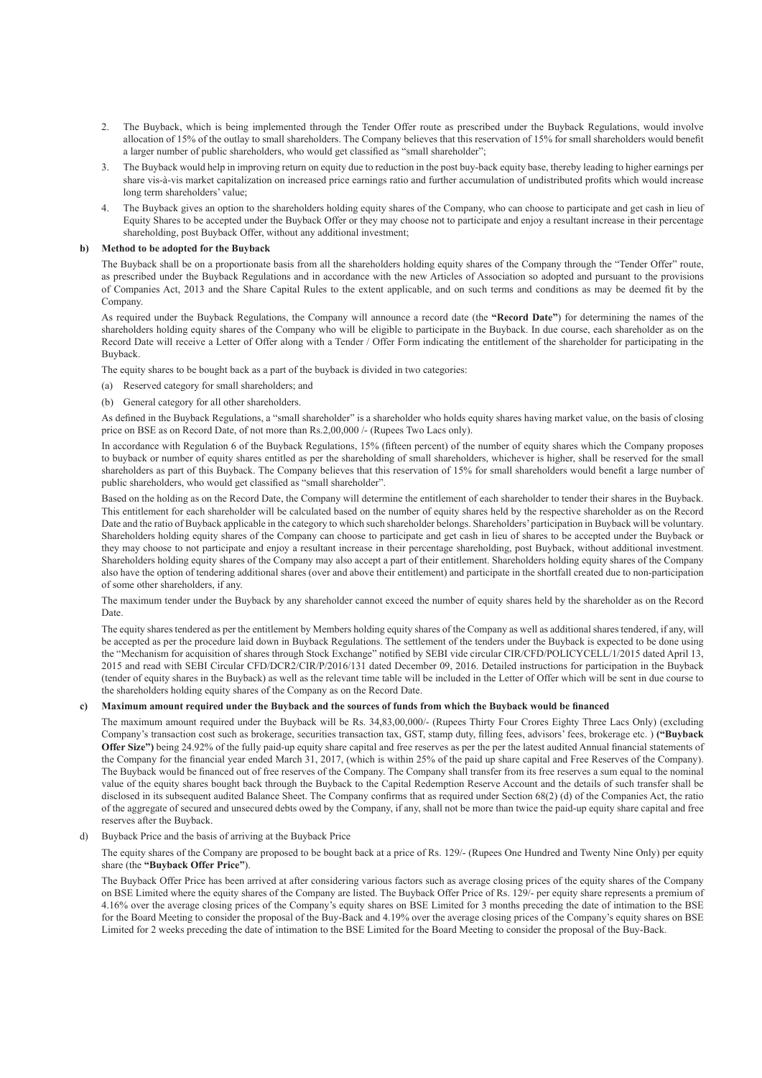- 2. The Buyback, which is being implemented through the Tender Offer route as prescribed under the Buyback Regulations, would involve allocation of 15% of the outlay to small shareholders. The Company believes that this reservation of 15% for small shareholders would benefit a larger number of public shareholders, who would get classified as "small shareholder";
- 3. The Buyback would help in improving return on equity due to reduction in the post buy-back equity base, thereby leading to higher earnings per share vis-à-vis market capitalization on increased price earnings ratio and further accumulation of undistributed profits which would increase long term shareholders' value;
- The Buyback gives an option to the shareholders holding equity shares of the Company, who can choose to participate and get cash in lieu of Equity Shares to be accepted under the Buyback Offer or they may choose not to participate and enjoy a resultant increase in their percentage shareholding, post Buyback Offer, without any additional investment;

#### **b) Method to be adopted for the Buyback**

The Buyback shall be on a proportionate basis from all the shareholders holding equity shares of the Company through the "Tender Offer" route, as prescribed under the Buyback Regulations and in accordance with the new Articles of Association so adopted and pursuant to the provisions of Companies Act, 2013 and the Share Capital Rules to the extent applicable, and on such terms and conditions as may be deemed fit by the Company.

 As required under the Buyback Regulations, the Company will announce a record date (the **"Record Date"**) for determining the names of the shareholders holding equity shares of the Company who will be eligible to participate in the Buyback. In due course, each shareholder as on the Record Date will receive a Letter of Offer along with a Tender / Offer Form indicating the entitlement of the shareholder for participating in the Buyback.

The equity shares to be bought back as a part of the buyback is divided in two categories:

- (a) Reserved category for small shareholders; and
- (b) General category for all other shareholders.

As defined in the Buyback Regulations, a "small shareholder" is a shareholder who holds equity shares having market value, on the basis of closing price on BSE as on Record Date, of not more than Rs.2,00,000 /- (Rupees Two Lacs only).

In accordance with Regulation 6 of the Buyback Regulations, 15% (fifteen percent) of the number of equity shares which the Company proposes to buyback or number of equity shares entitled as per the shareholding of small shareholders, whichever is higher, shall be reserved for the small shareholders as part of this Buyback. The Company believes that this reservation of 15% for small shareholders would benefit a large number of public shareholders, who would get classified as "small shareholder".

 Based on the holding as on the Record Date, the Company will determine the entitlement of each shareholder to tender their shares in the Buyback. This entitlement for each shareholder will be calculated based on the number of equity shares held by the respective shareholder as on the Record Date and the ratio of Buyback applicable in the category to which such shareholder belongs. Shareholders' participation in Buyback will be voluntary. Shareholders holding equity shares of the Company can choose to participate and get cash in lieu of shares to be accepted under the Buyback or they may choose to not participate and enjoy a resultant increase in their percentage shareholding, post Buyback, without additional investment. Shareholders holding equity shares of the Company may also accept a part of their entitlement. Shareholders holding equity shares of the Company also have the option of tendering additional shares (over and above their entitlement) and participate in the shortfall created due to non-participation of some other shareholders, if any.

 The maximum tender under the Buyback by any shareholder cannot exceed the number of equity shares held by the shareholder as on the Record Date.

 The equity shares tendered as per the entitlement by Members holding equity shares of the Company as well as additional shares tendered, if any, will be accepted as per the procedure laid down in Buyback Regulations. The settlement of the tenders under the Buyback is expected to be done using the "Mechanism for acquisition of shares through Stock Exchange" notified by SEBI vide circular CIR/CFD/POLICYCELL/1/2015 dated April 13, 2015 and read with SEBI Circular CFD/DCR2/CIR/P/2016/131 dated December 09, 2016. Detailed instructions for participation in the Buyback (tender of equity shares in the Buyback) as well as the relevant time table will be included in the Letter of Offer which will be sent in due course to the shareholders holding equity shares of the Company as on the Record Date.

# **c) Maximum amount required under the Buyback and the sources of funds from which the Buyback would be financed**

The maximum amount required under the Buyback will be Rs. 34,83,00,000/- (Rupees Thirty Four Crores Eighty Three Lacs Only) (excluding Company's transaction cost such as brokerage, securities transaction tax, GST, stamp duty, filling fees, advisors' fees, brokerage etc. ) **("Buyback Offer Size")** being 24.92% of the fully paid-up equity share capital and free reserves as per the per the latest audited Annual financial statements of the Company for the financial year ended March 31, 2017, (which is within 25% of the paid up share capital and Free Reserves of the Company). The Buyback would be financed out of free reserves of the Company. The Company shall transfer from its free reserves a sum equal to the nominal value of the equity shares bought back through the Buyback to the Capital Redemption Reserve Account and the details of such transfer shall be disclosed in its subsequent audited Balance Sheet. The Company confirms that as required under Section 68(2) (d) of the Companies Act, the ratio of the aggregate of secured and unsecured debts owed by the Company, if any, shall not be more than twice the paid-up equity share capital and free reserves after the Buyback.

d) Buyback Price and the basis of arriving at the Buyback Price

 The equity shares of the Company are proposed to be bought back at a price of Rs. 129/- (Rupees One Hundred and Twenty Nine Only) per equity share (the **"Buyback Offer Price"**).

 The Buyback Offer Price has been arrived at after considering various factors such as average closing prices of the equity shares of the Company on BSE Limited where the equity shares of the Company are listed. The Buyback Offer Price of Rs. 129/- per equity share represents a premium of 4.16% over the average closing prices of the Company's equity shares on BSE Limited for 3 months preceding the date of intimation to the BSE for the Board Meeting to consider the proposal of the Buy-Back and 4.19% over the average closing prices of the Company's equity shares on BSE Limited for 2 weeks preceding the date of intimation to the BSE Limited for the Board Meeting to consider the proposal of the Buy-Back.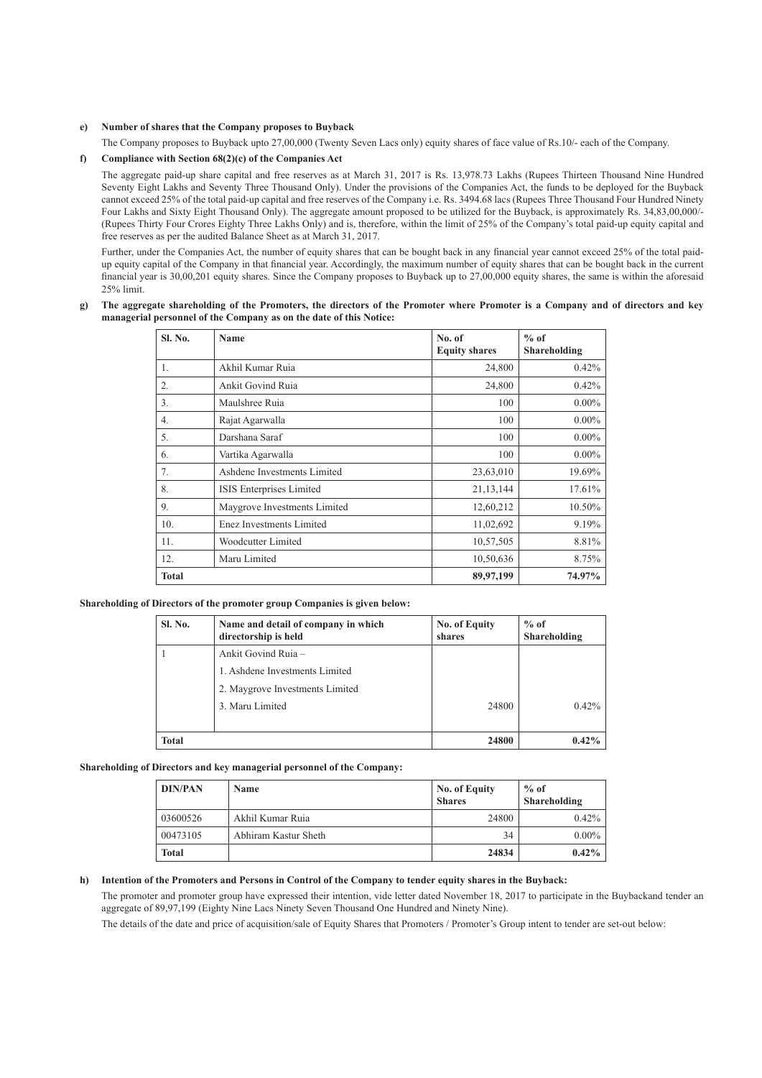#### **e) Number of shares that the Company proposes to Buyback**

The Company proposes to Buyback upto 27,00,000 (Twenty Seven Lacs only) equity shares of face value of Rs.10/- each of the Company.

## **f) Compliance with Section 68(2)(c) of the Companies Act**

The aggregate paid-up share capital and free reserves as at March 31, 2017 is Rs. 13,978.73 Lakhs (Rupees Thirteen Thousand Nine Hundred Seventy Eight Lakhs and Seventy Three Thousand Only). Under the provisions of the Companies Act, the funds to be deployed for the Buyback cannot exceed 25% of the total paid-up capital and free reserves of the Company i.e. Rs. 3494.68 lacs (Rupees Three Thousand Four Hundred Ninety Four Lakhs and Sixty Eight Thousand Only). The aggregate amount proposed to be utilized for the Buyback, is approximately Rs. 34,83,00,000/- (Rupees Thirty Four Crores Eighty Three Lakhs Only) and is, therefore, within the limit of 25% of the Company's total paid-up equity capital and free reserves as per the audited Balance Sheet as at March 31, 2017.

Further, under the Companies Act, the number of equity shares that can be bought back in any financial year cannot exceed 25% of the total paidup equity capital of the Company in that financial year. Accordingly, the maximum number of equity shares that can be bought back in the current financial year is 30,00,201 equity shares. Since the Company proposes to Buyback up to 27,00,000 equity shares, the same is within the aforesaid 25% limit.

#### **g) The aggregate shareholding of the Promoters, the directors of the Promoter where Promoter is a Company and of directors and key managerial personnel of the Company as on the date of this Notice:**

| Sl. No.      | Name                         | No. of<br><b>Equity shares</b> | $%$ of<br>Shareholding |
|--------------|------------------------------|--------------------------------|------------------------|
| 1.           | Akhil Kumar Ruia             | 24,800                         | $0.42\%$               |
| 2.           | Ankit Govind Ruia            | 24,800                         | 0.42%                  |
| 3.           | Maulshree Ruia               | 100                            | $0.00\%$               |
| 4.           | Rajat Agarwalla              | 100                            | $0.00\%$               |
| 5.           | Darshana Saraf               | 100                            | $0.00\%$               |
| 6.           | Vartika Agarwalla            | 100                            | $0.00\%$               |
| 7.           | Ashdene Investments Limited  | 23,63,010                      | 19.69%                 |
| 8.           | ISIS Enterprises Limited     | 21, 13, 144                    | 17.61%                 |
| 9.           | Maygrove Investments Limited | 12,60,212                      | 10.50%                 |
| 10.          | Enez Investments Limited     | 11,02,692                      | 9.19%                  |
| 11.          | Woodcutter Limited           | 10,57,505                      | 8.81%                  |
| 12.          | Maru Limited                 | 10,50,636                      | 8.75%                  |
| <b>Total</b> |                              | 89,97,199                      | 74.97%                 |

## **Shareholding of Directors of the promoter group Companies is given below:**

| Sl. No.      | Name and detail of company in which<br>directorship is held | No. of Equity<br>shares | $%$ of<br>Shareholding |
|--------------|-------------------------------------------------------------|-------------------------|------------------------|
|              | Ankit Govind Ruia -                                         |                         |                        |
|              | 1. Ashdene Investments Limited                              |                         |                        |
|              | 2. Maygrove Investments Limited                             |                         |                        |
|              | 3. Maru Limited                                             | 24800                   | $0.42\%$               |
|              |                                                             |                         |                        |
| <b>Total</b> |                                                             | 24800                   | $0.42\%$               |

#### **Shareholding of Directors and key managerial personnel of the Company:**

| <b>DIN/PAN</b> | <b>Name</b>          | No. of Equity<br><b>Shares</b> | $%$ of<br>Shareholding |
|----------------|----------------------|--------------------------------|------------------------|
| 03600526       | Akhil Kumar Ruia     | 24800                          | $0.42\%$               |
| 00473105       | Abhiram Kastur Sheth | 34                             | $0.00\%$               |
| Total          |                      | 24834                          | $0.42\%$               |

#### **h) Intention of the Promoters and Persons in Control of the Company to tender equity shares in the Buyback:**

The promoter and promoter group have expressed their intention, vide letter dated November 18, 2017 to participate in the Buybackand tender an aggregate of 89,97,199 (Eighty Nine Lacs Ninety Seven Thousand One Hundred and Ninety Nine).

The details of the date and price of acquisition/sale of Equity Shares that Promoters / Promoter's Group intent to tender are set-out below: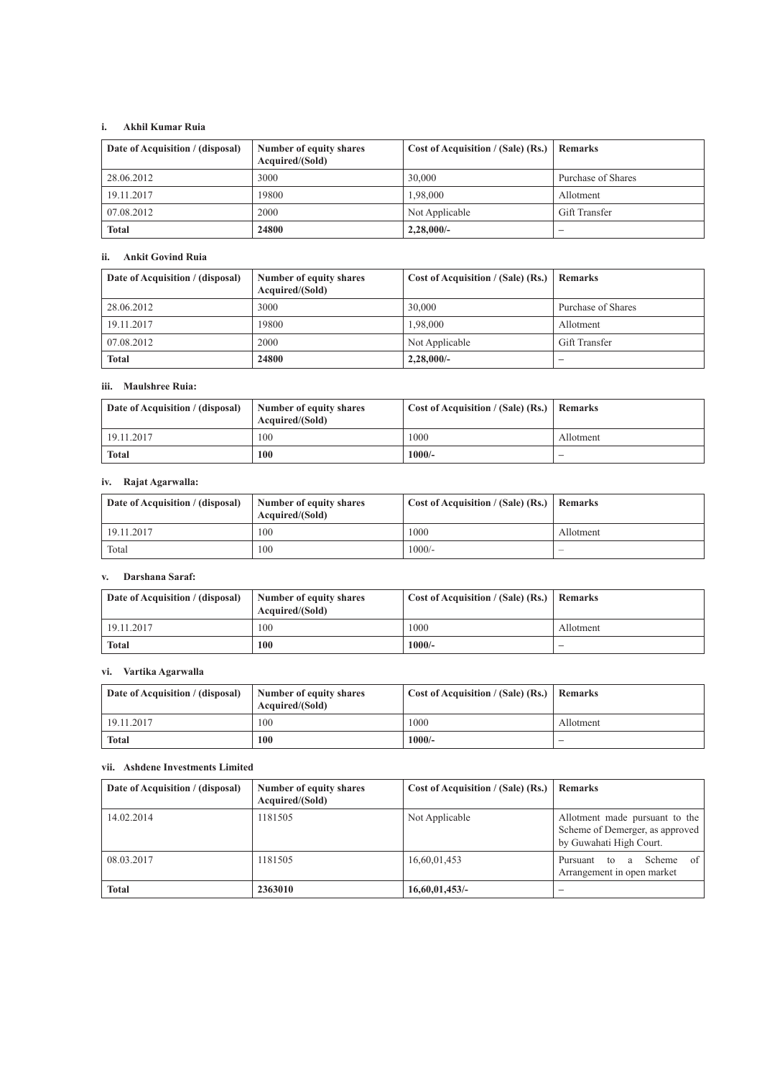# **i. Akhil Kumar Ruia**

| Date of Acquisition / (disposal) | Number of equity shares<br>Acquired/(Sold) | Cost of Acquisition / (Sale) (Rs.) | Remarks                  |
|----------------------------------|--------------------------------------------|------------------------------------|--------------------------|
| 28.06.2012                       | 3000                                       | 30,000                             | Purchase of Shares       |
| 19.11.2017                       | 19800                                      | 1.98.000                           | Allotment                |
| 07.08.2012                       | 2000                                       | Not Applicable                     | Gift Transfer            |
| <b>Total</b>                     | 24800                                      | 2,28,000/                          | $\overline{\phantom{a}}$ |

# **ii. Ankit Govind Ruia**

| Date of Acquisition / (disposal) | Number of equity shares<br>Acquired/(Sold) | Cost of Acquisition / (Sale) (Rs.)   Remarks |                          |
|----------------------------------|--------------------------------------------|----------------------------------------------|--------------------------|
| 28.06.2012                       | 3000                                       | 30.000                                       | Purchase of Shares       |
| 19.11.2017                       | 19800                                      | 1,98,000                                     | Allotment                |
| 07.08.2012                       | 2000                                       | Not Applicable                               | Gift Transfer            |
| <b>Total</b>                     | 24800                                      | $2,28,000/$ -                                | $\overline{\phantom{a}}$ |

# **iii. Maulshree Ruia:**

| Date of Acquisition / (disposal) | Number of equity shares<br>Acquired/(Sold) | Cost of Acquisition / (Sale) (Rs.)   Remarks |                          |
|----------------------------------|--------------------------------------------|----------------------------------------------|--------------------------|
| 19.11.2017                       | 100                                        | 1000                                         | Allotment                |
| <b>Total</b>                     | 100                                        | $1000/-$                                     | $\overline{\phantom{a}}$ |

# **iv. Rajat Agarwalla:**

| Date of Acquisition / (disposal) | Number of equity shares<br>Acquired/(Sold) | Cost of Acquisition / (Sale) (Rs.)   Remarks |           |
|----------------------------------|--------------------------------------------|----------------------------------------------|-----------|
| 19.11.2017                       | 100                                        | 1000                                         | Allotment |
| Total                            | 100                                        | $1000/-$                                     | -         |

# **v. Darshana Saraf:**

| Date of Acquisition / (disposal) | Number of equity shares<br>Acquired/(Sold) | Cost of Acquisition / (Sale) (Rs.)   Remarks |           |
|----------------------------------|--------------------------------------------|----------------------------------------------|-----------|
| 19.11.2017                       | 100                                        | 1000                                         | Allotment |
| <b>Total</b>                     | 100                                        | 1000/-                                       | -         |

# **vi. Vartika Agarwalla**

| Date of Acquisition / (disposal) | Number of equity shares<br>Acquired/(Sold) | Cost of Acquisition / (Sale) (Rs.)   Remarks |           |
|----------------------------------|--------------------------------------------|----------------------------------------------|-----------|
| 19.11.2017                       | 100                                        | 1000                                         | Allotment |
| <b>Total</b>                     | 100                                        | $1000/-$                                     | -         |

# **vii. Ashdene Investments Limited**

| Date of Acquisition / (disposal) | Number of equity shares<br>Acquired/(Sold) | Cost of Acquisition / (Sale) (Rs.) $\vert$ | <b>Remarks</b>                                                                               |
|----------------------------------|--------------------------------------------|--------------------------------------------|----------------------------------------------------------------------------------------------|
| 14.02.2014                       | 1181505                                    | Not Applicable                             | Allotment made pursuant to the<br>Scheme of Demerger, as approved<br>by Guwahati High Court. |
| 08.03.2017                       | 1181505                                    | 16,60,01,453                               | $\sigma$ f<br>Scheme<br>Pursuant to<br>a.<br>Arrangement in open market                      |
| <b>Total</b>                     | 2363010                                    | 16,60,01,453/                              |                                                                                              |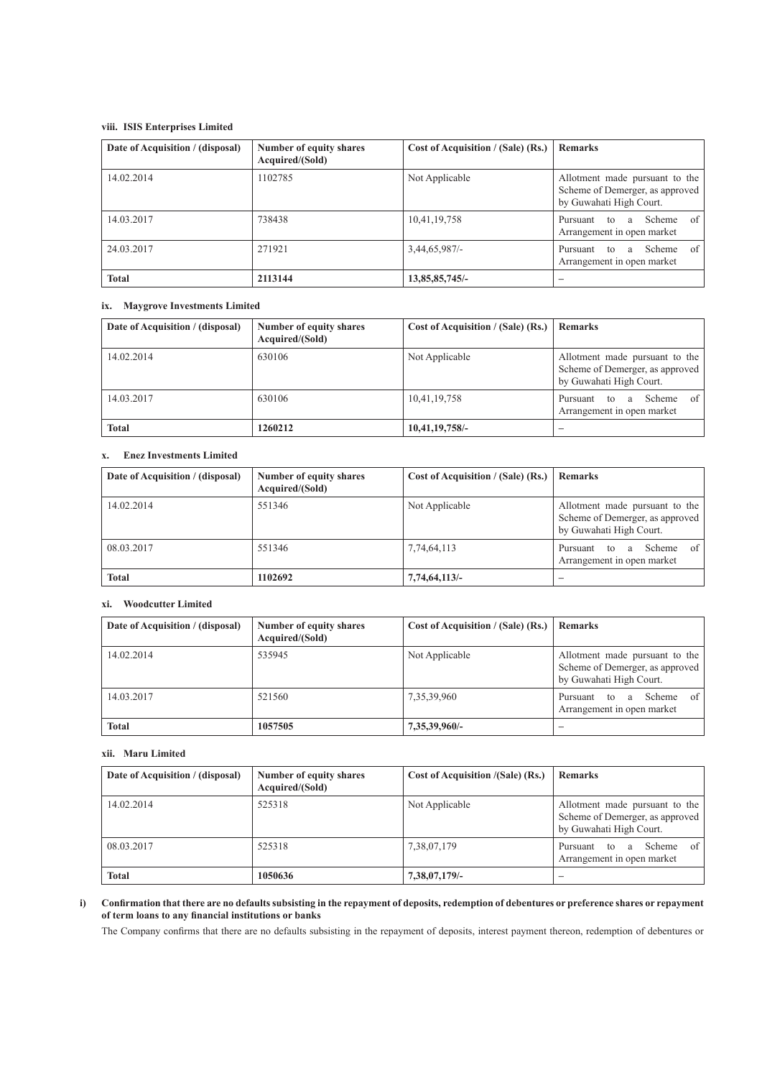# **viii. ISIS Enterprises Limited**

| Date of Acquisition / (disposal) | Number of equity shares<br>Acquired/(Sold) | Cost of Acquisition / (Sale) (Rs.) | <b>Remarks</b>                                                                               |
|----------------------------------|--------------------------------------------|------------------------------------|----------------------------------------------------------------------------------------------|
| 14.02.2014                       | 1102785                                    | Not Applicable                     | Allotment made pursuant to the<br>Scheme of Demerger, as approved<br>by Guwahati High Court. |
| 14.03.2017                       | 738438                                     | 10,41,19,758                       | of<br>Scheme<br>Pursuant<br>to<br>a<br>Arrangement in open market                            |
| 24.03.2017                       | 271921                                     | $3,44,65,987/$ -                   | of<br>Scheme<br>Pursuant<br>to<br>a<br>Arrangement in open market                            |
| <b>Total</b>                     | 2113144                                    | 13,85,85,745/-                     |                                                                                              |

# **ix. Maygrove Investments Limited**

| Date of Acquisition / (disposal) | Number of equity shares<br>Acquired/(Sold) | Cost of Acquisition / (Sale) (Rs.) | <b>Remarks</b>                                                                               |
|----------------------------------|--------------------------------------------|------------------------------------|----------------------------------------------------------------------------------------------|
| 14.02.2014                       | 630106                                     | Not Applicable                     | Allotment made pursuant to the<br>Scheme of Demerger, as approved<br>by Guwahati High Court. |
| 14.03.2017                       | 630106                                     | 10,41,19,758                       | of<br>Scheme<br>Pursuant<br>to<br>a<br>Arrangement in open market                            |
| <b>Total</b>                     | 1260212                                    | 10,41,19,758/-                     |                                                                                              |

# **x. Enez Investments Limited**

| Date of Acquisition / (disposal) | Number of equity shares<br>Acquired/(Sold) | Cost of Acquisition / (Sale) (Rs.) | <b>Remarks</b>                                                                               |
|----------------------------------|--------------------------------------------|------------------------------------|----------------------------------------------------------------------------------------------|
| 14.02.2014                       | 551346                                     | Not Applicable                     | Allotment made pursuant to the<br>Scheme of Demerger, as approved<br>by Guwahati High Court. |
| 08.03.2017                       | 551346                                     | 7,74,64,113                        | of<br>Scheme<br>Pursuant to<br>a a<br>Arrangement in open market                             |
| <b>Total</b>                     | 1102692                                    | 7,74,64,113/-                      |                                                                                              |

# **xi. Woodcutter Limited**

| Date of Acquisition / (disposal) | Number of equity shares<br>Acquired/(Sold) | Cost of Acquisition / (Sale) (Rs.) | <b>Remarks</b>                                                                               |
|----------------------------------|--------------------------------------------|------------------------------------|----------------------------------------------------------------------------------------------|
| 14.02.2014                       | 535945                                     | Not Applicable                     | Allotment made pursuant to the<br>Scheme of Demerger, as approved<br>by Guwahati High Court. |
| 14.03.2017                       | 521560                                     | 7,35,39,960                        | $\sigma$ f<br>Scheme<br>Pursuant to<br>a a<br>Arrangement in open market                     |
| <b>Total</b>                     | 1057505                                    | 7,35,39,960/-                      | -                                                                                            |

## **xii. Maru Limited**

| Date of Acquisition / (disposal) | Number of equity shares<br>Acquired/(Sold) | <b>Cost of Acquisition /(Sale) (Rs.)</b> | <b>Remarks</b>                                                                               |
|----------------------------------|--------------------------------------------|------------------------------------------|----------------------------------------------------------------------------------------------|
| 14.02.2014                       | 525318                                     | Not Applicable                           | Allotment made pursuant to the<br>Scheme of Demerger, as approved<br>by Guwahati High Court. |
| 08.03.2017                       | 525318                                     | 7,38,07,179                              | of<br>Scheme<br>Pursuant<br>to<br>a<br>Arrangement in open market                            |
| <b>Total</b>                     | 1050636                                    | 7,38,07,179/-                            |                                                                                              |

# **i) Confirmation that there are no defaults subsisting in the repayment of deposits, redemption of debentures or preference shares or repayment of term loans to any financial institutions or banks**

The Company confirms that there are no defaults subsisting in the repayment of deposits, interest payment thereon, redemption of debentures or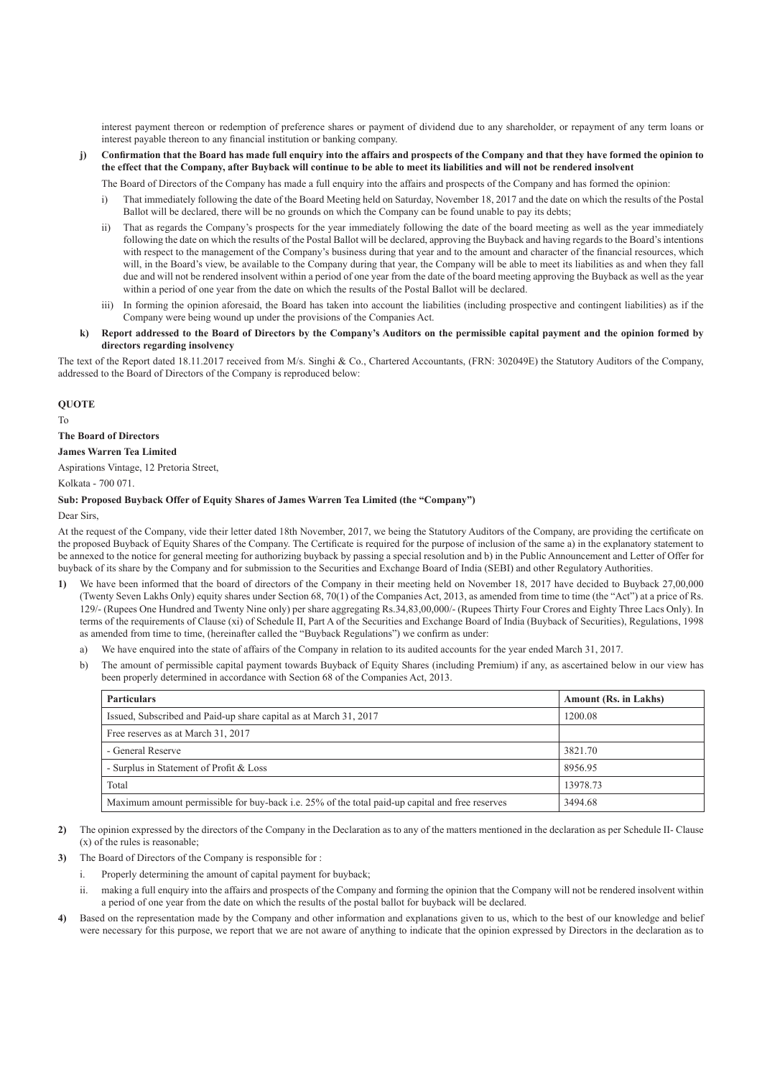interest payment thereon or redemption of preference shares or payment of dividend due to any shareholder, or repayment of any term loans or interest payable thereon to any financial institution or banking company.

**j) Confirmation that the Board has made full enquiry into the affairs and prospects of the Company and that they have formed the opinion to the effect that the Company, after Buyback will continue to be able to meet its liabilities and will not be rendered insolvent**

The Board of Directors of the Company has made a full enquiry into the affairs and prospects of the Company and has formed the opinion:

- i) That immediately following the date of the Board Meeting held on Saturday, November 18, 2017 and the date on which the results of the Postal Ballot will be declared, there will be no grounds on which the Company can be found unable to pay its debts;
- ii) That as regards the Company's prospects for the year immediately following the date of the board meeting as well as the year immediately following the date on which the results of the Postal Ballot will be declared, approving the Buyback and having regards to the Board's intentions with respect to the management of the Company's business during that year and to the amount and character of the financial resources, which will, in the Board's view, be available to the Company during that year, the Company will be able to meet its liabilities as and when they fall due and will not be rendered insolvent within a period of one year from the date of the board meeting approving the Buyback as well as the year within a period of one year from the date on which the results of the Postal Ballot will be declared.
- iii) In forming the opinion aforesaid, the Board has taken into account the liabilities (including prospective and contingent liabilities) as if the Company were being wound up under the provisions of the Companies Act.
- **k) Report addressed to the Board of Directors by the Company's Auditors on the permissible capital payment and the opinion formed by directors regarding insolvency**

The text of the Report dated 18.11.2017 received from M/s. Singhi & Co., Chartered Accountants, (FRN: 302049E) the Statutory Auditors of the Company, addressed to the Board of Directors of the Company is reproduced below:

#### **QUOTE**

To

**The Board of Directors**

#### **James Warren Tea Limited**

Aspirations Vintage, 12 Pretoria Street,

Kolkata - 700 071.

#### **Sub: Proposed Buyback Offer of Equity Shares of James Warren Tea Limited (the "Company")**

#### Dear Sirs,

At the request of the Company, vide their letter dated 18th November, 2017, we being the Statutory Auditors of the Company, are providing the certificate on the proposed Buyback of Equity Shares of the Company. The Certificate is required for the purpose of inclusion of the same a) in the explanatory statement to be annexed to the notice for general meeting for authorizing buyback by passing a special resolution and b) in the Public Announcement and Letter of Offer for buyback of its share by the Company and for submission to the Securities and Exchange Board of India (SEBI) and other Regulatory Authorities.

- **1)** We have been informed that the board of directors of the Company in their meeting held on November 18, 2017 have decided to Buyback 27,00,000 (Twenty Seven Lakhs Only) equity shares under Section 68, 70(1) of the Companies Act, 2013, as amended from time to time (the "Act") at a price of Rs. 129/- (Rupees One Hundred and Twenty Nine only) per share aggregating Rs.34,83,00,000/- (Rupees Thirty Four Crores and Eighty Three Lacs Only). In terms of the requirements of Clause (xi) of Schedule II, Part A of the Securities and Exchange Board of India (Buyback of Securities), Regulations, 1998 as amended from time to time, (hereinafter called the "Buyback Regulations") we confirm as under:
	- a) We have enquired into the state of affairs of the Company in relation to its audited accounts for the year ended March 31, 2017.
	- b) The amount of permissible capital payment towards Buyback of Equity Shares (including Premium) if any, as ascertained below in our view has been properly determined in accordance with Section 68 of the Companies Act, 2013.

| <b>Particulars</b>                                                                              | <b>Amount (Rs. in Lakhs)</b> |  |
|-------------------------------------------------------------------------------------------------|------------------------------|--|
| Issued, Subscribed and Paid-up share capital as at March 31, 2017                               | 1200.08                      |  |
| Free reserves as at March 31, 2017                                                              |                              |  |
| - General Reserve                                                                               | 3821.70                      |  |
| - Surplus in Statement of Profit & Loss                                                         | 8956.95                      |  |
| Total                                                                                           | 13978.73                     |  |
| Maximum amount permissible for buy-back i.e. 25% of the total paid-up capital and free reserves | 3494.68                      |  |

- **2)** The opinion expressed by the directors of the Company in the Declaration as to any of the matters mentioned in the declaration as per Schedule II- Clause (x) of the rules is reasonable;
- **3)** The Board of Directors of the Company is responsible for :
	- i. Properly determining the amount of capital payment for buyback;
	- ii. making a full enquiry into the affairs and prospects of the Company and forming the opinion that the Company will not be rendered insolvent within a period of one year from the date on which the results of the postal ballot for buyback will be declared.
- **4)** Based on the representation made by the Company and other information and explanations given to us, which to the best of our knowledge and belief were necessary for this purpose, we report that we are not aware of anything to indicate that the opinion expressed by Directors in the declaration as to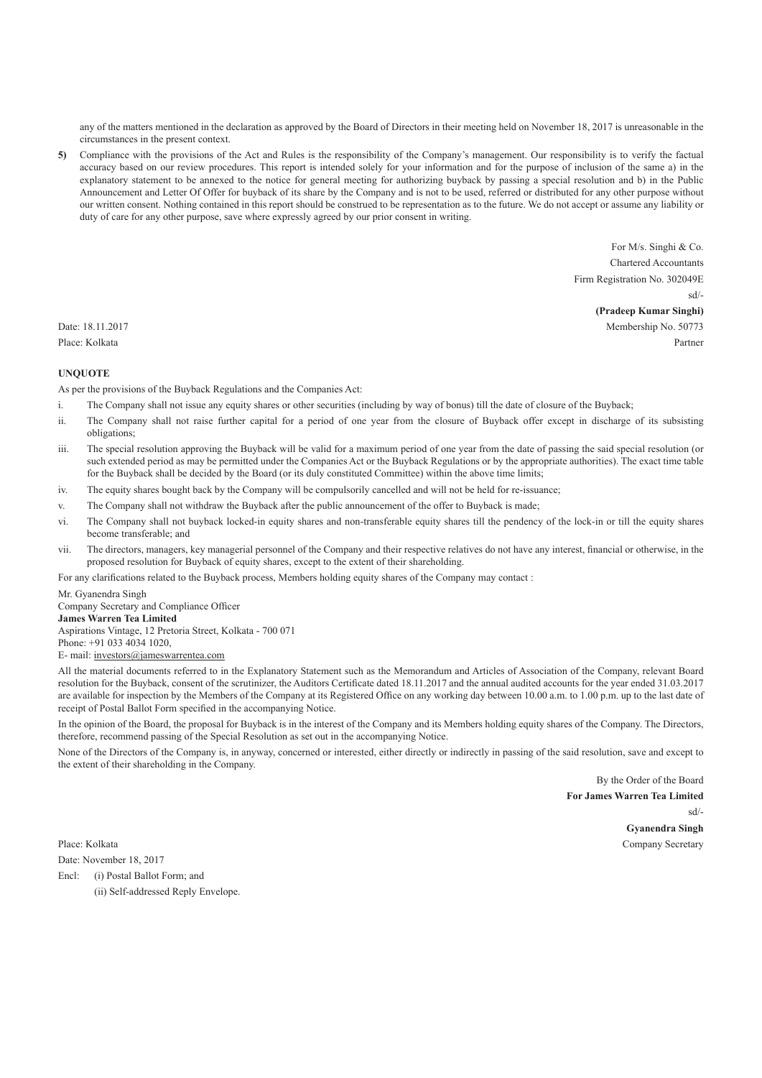any of the matters mentioned in the declaration as approved by the Board of Directors in their meeting held on November 18, 2017 is unreasonable in the circumstances in the present context.

**5)** Compliance with the provisions of the Act and Rules is the responsibility of the Company's management. Our responsibility is to verify the factual accuracy based on our review procedures. This report is intended solely for your information and for the purpose of inclusion of the same a) in the explanatory statement to be annexed to the notice for general meeting for authorizing buyback by passing a special resolution and b) in the Public Announcement and Letter Of Offer for buyback of its share by the Company and is not to be used, referred or distributed for any other purpose without our written consent. Nothing contained in this report should be construed to be representation as to the future. We do not accept or assume any liability or duty of care for any other purpose, save where expressly agreed by our prior consent in writing.

For M/s. Singhi & Co. Chartered Accountants Firm Registration No. 302049E sd/- **(Pradeep Kumar Singhi)** Date: 18.11.2017 Membership No. 50773 Place: Kolkata Partner

# **UNQUOTE**

As per the provisions of the Buyback Regulations and the Companies Act:

- i. The Company shall not issue any equity shares or other securities (including by way of bonus) till the date of closure of the Buyback;
- ii. The Company shall not raise further capital for a period of one year from the closure of Buyback offer except in discharge of its subsisting obligations;
- iii. The special resolution approving the Buyback will be valid for a maximum period of one year from the date of passing the said special resolution (or such extended period as may be permitted under the Companies Act or the Buyback Regulations or by the appropriate authorities). The exact time table for the Buyback shall be decided by the Board (or its duly constituted Committee) within the above time limits;
- iv. The equity shares bought back by the Company will be compulsorily cancelled and will not be held for re-issuance;
- v. The Company shall not withdraw the Buyback after the public announcement of the offer to Buyback is made;
- vi. The Company shall not buyback locked-in equity shares and non-transferable equity shares till the pendency of the lock-in or till the equity shares become transferable; and
- vii. The directors, managers, key managerial personnel of the Company and their respective relatives do not have any interest, financial or otherwise, in the proposed resolution for Buyback of equity shares, except to the extent of their shareholding.

For any clarifications related to the Buyback process, Members holding equity shares of the Company may contact :

Mr. Gyanendra Singh

Company Secretary and Compliance Officer **James Warren Tea Limited** Aspirations Vintage, 12 Pretoria Street, Kolkata - 700 071 Phone: +91 033 4034 1020,

E- mail: investors@jameswarrentea.com

All the material documents referred to in the Explanatory Statement such as the Memorandum and Articles of Association of the Company, relevant Board resolution for the Buyback, consent of the scrutinizer, the Auditors Certificate dated 18.11.2017 and the annual audited accounts for the year ended 31.03.2017 are available for inspection by the Members of the Company at its Registered Office on any working day between 10.00 a.m. to 1.00 p.m. up to the last date of receipt of Postal Ballot Form specified in the accompanying Notice.

In the opinion of the Board, the proposal for Buyback is in the interest of the Company and its Members holding equity shares of the Company. The Directors, therefore, recommend passing of the Special Resolution as set out in the accompanying Notice.

None of the Directors of the Company is, in anyway, concerned or interested, either directly or indirectly in passing of the said resolution, save and except to the extent of their shareholding in the Company.

 By the Order of the Board **For James Warren Tea Limited** sd/- **Gyanendra Singh** Place: Kolkata Company Secretary

Date: November 18, 2017

Encl: (i) Postal Ballot Form; and (ii) Self-addressed Reply Envelope.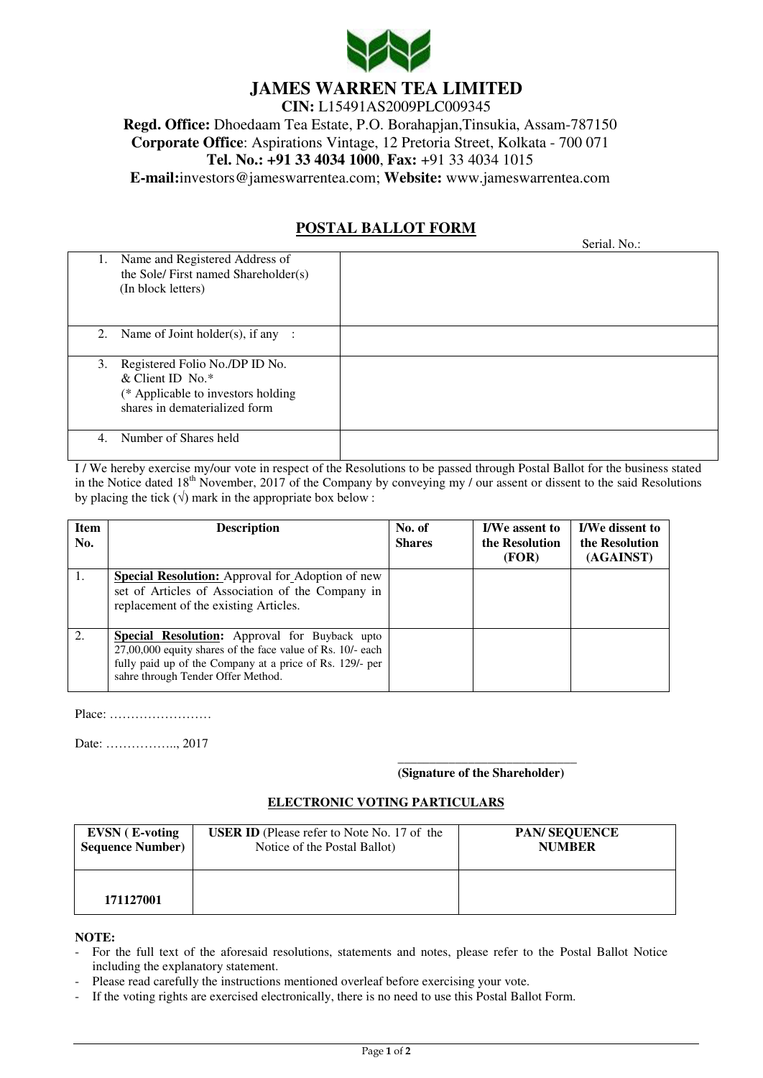

# **JAMES WARREN TEA LIMITED**

**CIN:** L15491AS2009PLC009345 **Regd. Office:** Dhoedaam Tea Estate, P.O. Borahapjan,Tinsukia, Assam-787150 **Corporate Office**: Aspirations Vintage, 12 Pretoria Street, Kolkata - 700 071 **Tel. No.: +91 33 4034 1000**, **Fax:** +91 33 4034 1015 **E-mail:**[investors@jameswarrentea.com;](mailto:vikramsarogi@jameswarrentea.com;%20investors@jameswarrentea.com) **Website:** [www.jameswarrentea.com](http://www.jameswarrentea.com/) 

# **POSTAL BALLOT FORM**

|                                                                                                                                     | Serial. No.: |
|-------------------------------------------------------------------------------------------------------------------------------------|--------------|
| Name and Registered Address of<br>1.<br>the Sole/ First named Shareholder(s)<br>(In block letters)                                  |              |
| 2. Name of Joint holder(s), if any :                                                                                                |              |
| Registered Folio No./DP ID No.<br>3.<br>& Client ID No. $*$<br>(* Applicable to investors holding)<br>shares in dematerialized form |              |
| Number of Shares held<br>4.                                                                                                         |              |

I / We hereby exercise my/our vote in respect of the Resolutions to be passed through Postal Ballot for the business stated in the Notice dated 18<sup>th</sup> November, 2017 of the Company by conveying my / our assent or dissent to the said Resolutions by placing the tick  $(\sqrt{})$  mark in the appropriate box below :

| <b>Item</b><br>No. | <b>Description</b>                                                                                                                                                                                                     | No. of<br><b>Shares</b> | <b>I/We assent to</b><br>the Resolution<br>(FOR) | <b>I/We dissent to</b><br>the Resolution<br>(AGAINST) |
|--------------------|------------------------------------------------------------------------------------------------------------------------------------------------------------------------------------------------------------------------|-------------------------|--------------------------------------------------|-------------------------------------------------------|
| 1.                 | <b>Special Resolution:</b> Approval for Adoption of new<br>set of Articles of Association of the Company in<br>replacement of the existing Articles.                                                                   |                         |                                                  |                                                       |
| 2.                 | <b>Special Resolution:</b> Approval for Buyback upto<br>$27,00,000$ equity shares of the face value of Rs. 10/- each<br>fully paid up of the Company at a price of Rs. 129/- per<br>sahre through Tender Offer Method. |                         |                                                  |                                                       |

Place: ……………………

Date: …………….., 2017

# **(Signature of the Shareholder)**

# **ELECTRONIC VOTING PARTICULARS**

| <b>EVSN</b> ( <b>E</b> -voting | <b>USER ID</b> (Please refer to Note No. 17 of the | <b>PAN/SEQUENCE</b> |
|--------------------------------|----------------------------------------------------|---------------------|
| <b>Sequence Number)</b>        | Notice of the Postal Ballot)                       | <b>NUMBER</b>       |
| 171127001                      |                                                    |                     |

**NOTE:** 

- For the full text of the aforesaid resolutions, statements and notes, please refer to the Postal Ballot Notice including the explanatory statement.
- Please read carefully the instructions mentioned overleaf before exercising your vote.
- If the voting rights are exercised electronically, there is no need to use this Postal Ballot Form.

 $\overline{\phantom{a}}$  , and the state of the state of the state of the state of the state of the state of the state of the state of the state of the state of the state of the state of the state of the state of the state of the stat